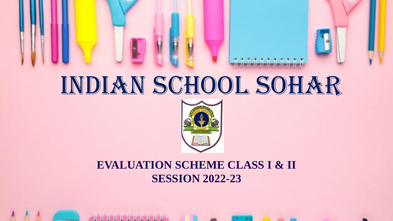# INDIAN SCHOOL SOHAR



#### **EVALUATION SCHEME CLASS I & II SESSION 2022-23**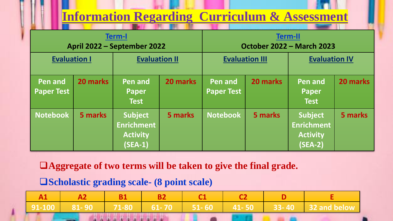### **Information Regarding Curriculum & Assessment**

| <b>Term-I</b><br>April 2022 - September 2022 |          |                                                                     |          | <b>Term-II</b><br><b>October 2022 - March 2023</b> |          |                                                                     |          |
|----------------------------------------------|----------|---------------------------------------------------------------------|----------|----------------------------------------------------|----------|---------------------------------------------------------------------|----------|
| <b>Evaluation I</b>                          |          | <b>Evaluation II</b>                                                |          | <b>Evaluation III</b>                              |          | <b>Evaluation IV</b>                                                |          |
| <b>Pen and</b><br><b>Paper Test</b>          | 20 marks | Pen and<br>Paper<br><b>Test</b>                                     | 20 marks | Pen and<br><b>Paper Test</b>                       | 20 marks | <b>Pen and</b><br>Paper<br><b>Test</b>                              | 20 marks |
| <b>Notebook</b>                              | 5 marks  | <b>Subject</b><br><b>Enrichment</b><br><b>Activity</b><br>$(SEA-1)$ | 5 marks  | <b>Notebook</b>                                    | 5 marks  | <b>Subject</b><br><b>Enrichment</b><br><b>Activity</b><br>$(SEA-2)$ | 5 marks  |

❑**Aggregate of two terms will be taken to give the final grade.**

❑**Scholastic grading scale- (8 point scale)**

**A CONTRACT OF BUILDING CONTRACT OF BUILDING** 

|  |  |  |  |  |  |  | 1 91-100 1 81-90 1 71-80 1 61-70 1 51-60 1 41-50 33-40 32 and below |
|--|--|--|--|--|--|--|---------------------------------------------------------------------|
|  |  |  |  |  |  |  |                                                                     |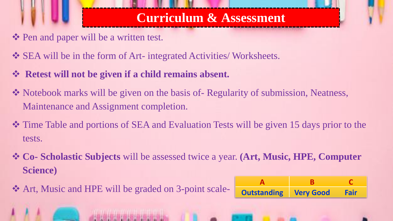## **Curriculum & Assessment**

- ❖ Pen and paper will be a written test.
- ❖ SEA will be in the form of Art- integrated Activities/ Worksheets.
- ❖ **Retest will not be given if a child remains absent.**
- ❖ Notebook marks will be given on the basis of- Regularity of submission, Neatness, Maintenance and Assignment completion.
- ❖ Time Table and portions of SEA and Evaluation Tests will be given 15 days prior to the tests.
- ❖ **Co- Scholastic Subjects** will be assessed twice a year. **(Art, Music, HPE, Computer Science)**

❖ Art, Music and HPE will be graded on 3-point scale-

| <b>Outstanding Very Good</b> | Fair |
|------------------------------|------|